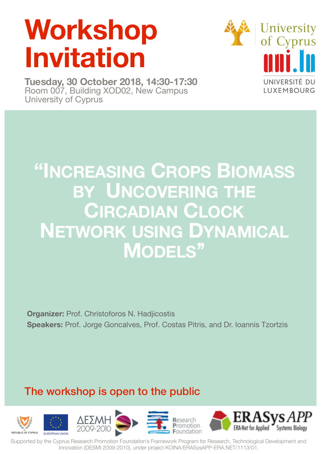# **Workshop Invitation**

**Tuesday, 30 October 2018, 14:30-17:30**  Room 007, Building XOD02, New Campus University of Cyprus



## **"INCREASING CROPS BIOMASS BY UNCOVERING THE CIRCADIAN CLOCK NETWORK USING DYNAMICAL MODELS''**

**Organizer:** Prof. Christoforos N. Hadjicostis **Speakers:** Prof. Jorge Goncalves, Prof. Costas Pitris, and Dr. Ioannis Tzortzis

## The workshop is open to the public



Supported by the Cyprus Research Promotion Foundation's Framework Program for Research, Technological Development and Innovation (DESMI 2009-2010), under project KOINA[/ERASysAPP-ERA.NET/1113/01.](http://ERASysAPP-ERA.NET/1113/01)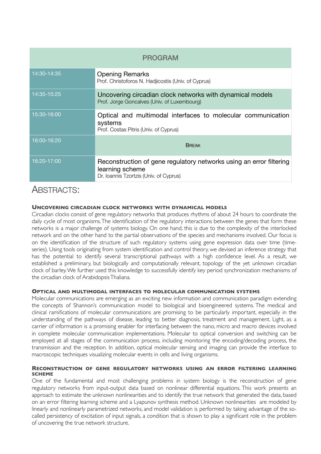| <b>PROGRAM</b> |                                                                                                                                  |
|----------------|----------------------------------------------------------------------------------------------------------------------------------|
| 14:30-14:35    | <b>Opening Remarks</b><br>Prof. Christoforos N. Hadjicostis (Univ. of Cyprus)                                                    |
| 14:35-15:25    | Uncovering circadian clock networks with dynamical models<br>Prof. Jorge Goncalves (Univ. of Luxembourg)                         |
| 15:30-16:00    | Optical and multimodal interfaces to molecular communication<br>systems<br>Prof. Costas Pitris (Univ. of Cyprus)                 |
| 16:00-16:20    | <b>BREAK</b>                                                                                                                     |
| 16:20-17:00    | Reconstruction of gene regulatory networks using an error filtering<br>learning scheme<br>Dr. Ioannis Tzortzis (Univ. of Cyprus) |

#### ABSTRACTS:

#### **UNCOVERING CIRCADIAN CLOCK NETWORKS WITH DYNAMICAL MODELS**

Circadian clocks consist of gene regulatory networks that produces rhythms of about 24 hours to coordinate the daily cycle of most organisms. The identification of the regulatory interactions between the genes that form these networks is a major challenge of systems biology. On one hand, this is due to the complexity of the interlocked network and on the other hand to the partial observations of the species and mechanisms involved. Our focus is on the identification of the structure of such regulatory systems using gene expression data over time (timeseries). Using tools originating from system identification and control theory, we devised an inference strategy that has the potential to identify several transcriptional pathways with a high confidence level. As a result, we established a preliminary, but biologically and computationally relevant, topology of the yet unknown circadian clock of barley. We further used this knowledge to successfully identify key period synchronization mechanisms of the circadian clock of Arabidopsis Thaliana.

#### **OPTICAL AND MULTIMODAL INTERFACES TO MOLECULAR COMMUNICATION SYSTEMS**

Molecular communications are emerging as an exciting new information and communication paradigm extending the concepts of Shannon's communication model to biological and bioengineered systems. The medical and clinical ramifications of molecular communications are promising to be particularly important, especially in the understanding of the pathways of disease, leading to better diagnosis, treatment and management. Light, as a carrier of information is a promising enabler for interfacing between the nano, micro and macro devices involved in complete molecular communication implementations. Molecular to optical conversion and switching can be employed at all stages of the communication process, including monitoring the encoding/decoding process, the transmission and the reception. In addition, optical molecular sensing and imaging can provide the interface to macroscopic techniques visualizing molecular events in cells and living organisms.

#### **RECONSTRUCTION OF GENE REGULATORY NETWORKS USING AN ERROR FILTERING LEARNING SCHEME**

One of the fundamental and most challenging problems in system biology is the reconstruction of gene regulatory networks from input-output data based on nonlinear differential equations. This work presents an approach to estimate the unknown nonlinearities and to identify the true network that generated the data, based on an error filtering learning scheme and a Lyapunov synthesis method. Unknown nonlinearities are modeled by linearly and nonlinearly parametrized networks, and model validation is performed by taking advantage of the socalled persistency of excitation of input signals, a condition that is shown to play a significant role in the problem of uncovering the true network structure.